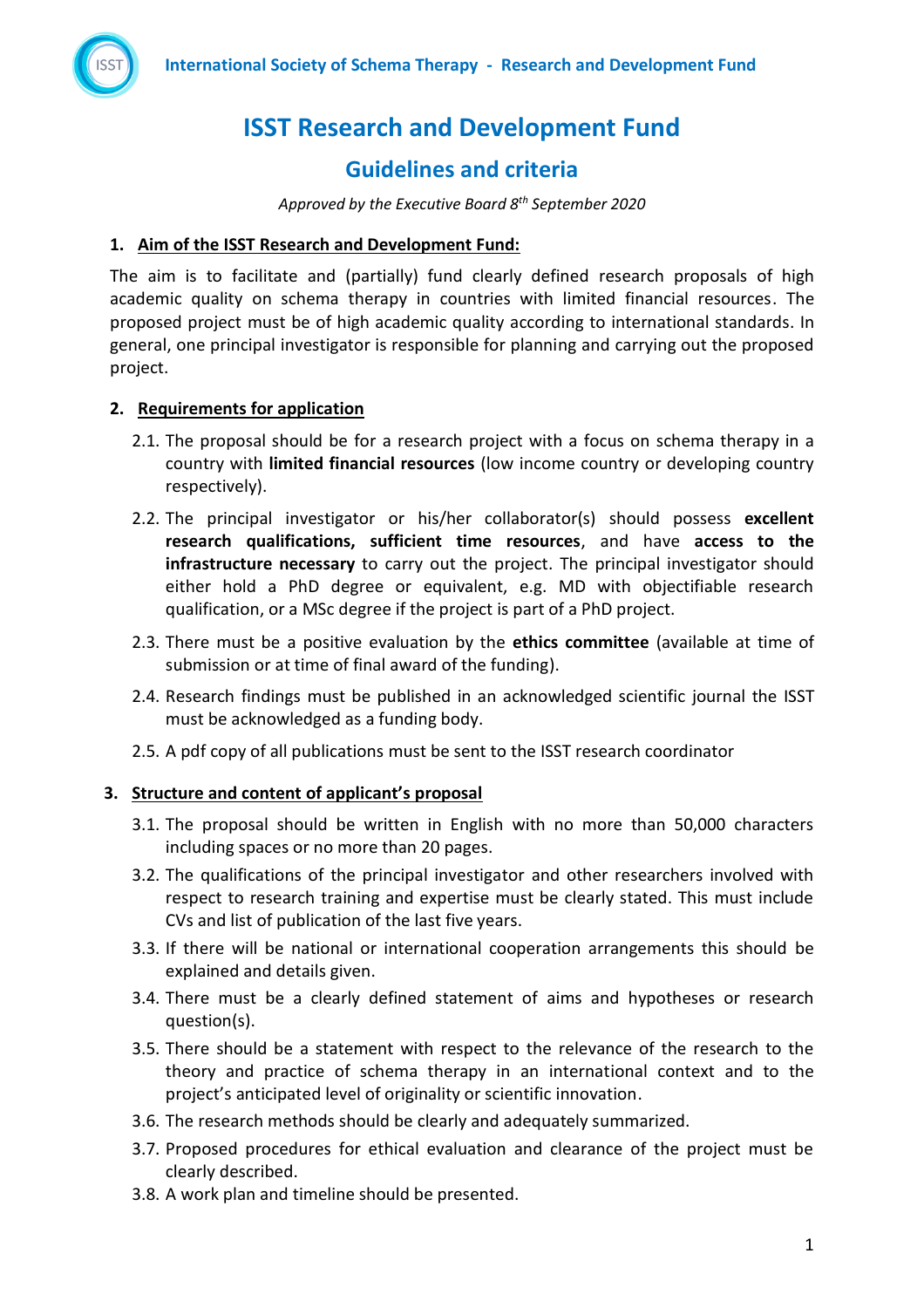

# **ISST Research and Development Fund**

# **Guidelines and criteria**

*Approved by the Executive Board 8th September 2020*

#### **1. Aim of the ISST Research and Development Fund:**

The aim is to facilitate and (partially) fund clearly defined research proposals of high academic quality on schema therapy in countries with limited financial resources. The proposed project must be of high academic quality according to international standards. In general, one principal investigator is responsible for planning and carrying out the proposed project.

### **2. Requirements for application**

- 2.1. The proposal should be for a research project with a focus on schema therapy in a country with **limited financial resources** (low income country or developing country respectively).
- 2.2. The principal investigator or his/her collaborator(s) should possess **excellent research qualifications, sufficient time resources**, and have **access to the infrastructure necessary** to carry out the project. The principal investigator should either hold a PhD degree or equivalent, e.g. MD with objectifiable research qualification, or a MSc degree if the project is part of a PhD project.
- 2.3. There must be a positive evaluation by the **ethics committee** (available at time of submission or at time of final award of the funding).
- 2.4. Research findings must be published in an acknowledged scientific journal the ISST must be acknowledged as a funding body.
- 2.5. A pdf copy of all publications must be sent to the ISST research coordinator

### **3. Structure and content of applicant's proposal**

- 3.1. The proposal should be written in English with no more than 50,000 characters including spaces or no more than 20 pages.
- 3.2. The qualifications of the principal investigator and other researchers involved with respect to research training and expertise must be clearly stated. This must include CVs and list of publication of the last five years.
- 3.3. If there will be national or international cooperation arrangements this should be explained and details given.
- 3.4. There must be a clearly defined statement of aims and hypotheses or research question(s).
- 3.5. There should be a statement with respect to the relevance of the research to the theory and practice of schema therapy in an international context and to the project's anticipated level of originality or scientific innovation.
- 3.6. The research methods should be clearly and adequately summarized.
- 3.7. Proposed procedures for ethical evaluation and clearance of the project must be clearly described.
- 3.8. A work plan and timeline should be presented.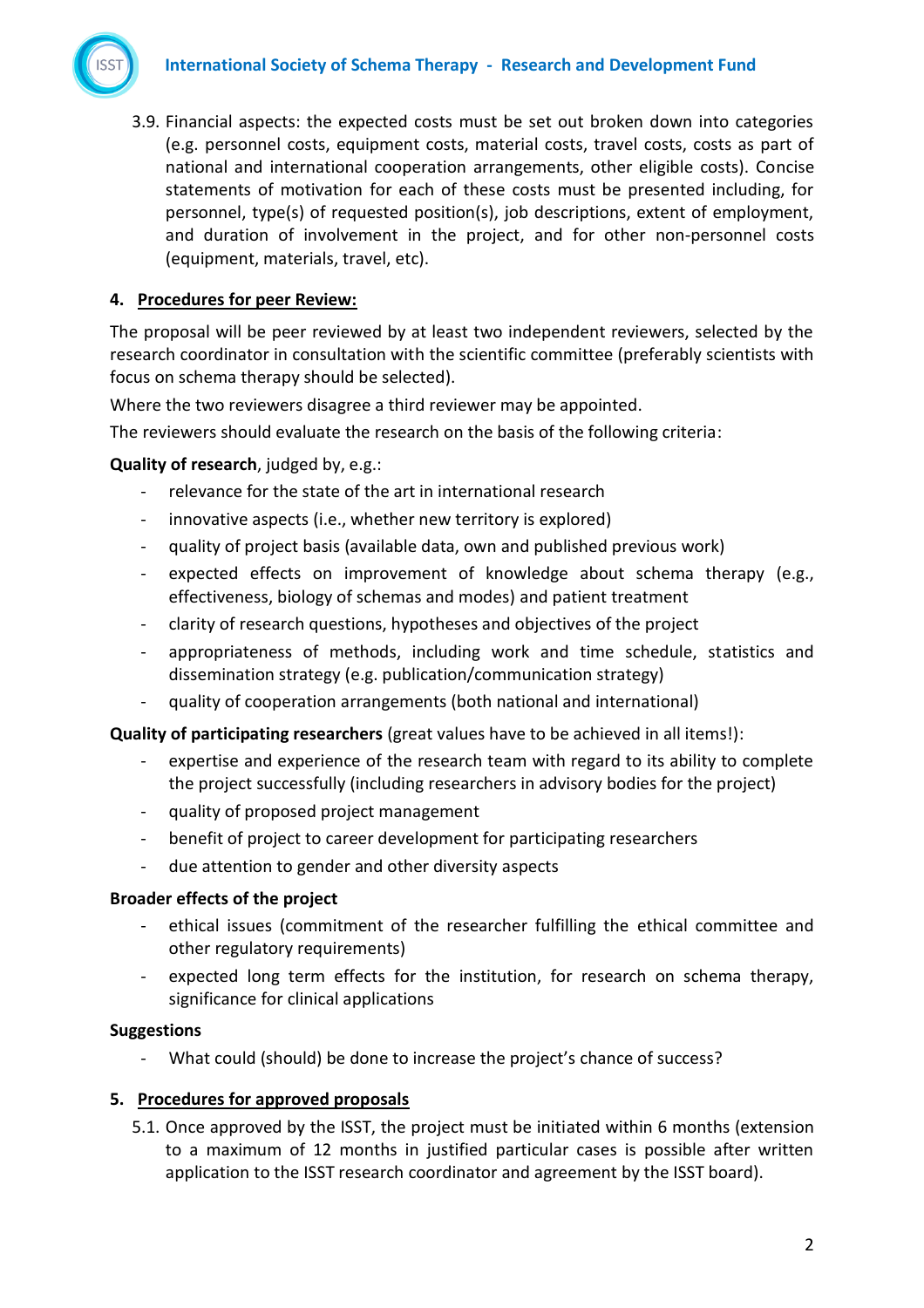

3.9. Financial aspects: the expected costs must be set out broken down into categories (e.g. personnel costs, equipment costs, material costs, travel costs, costs as part of national and international cooperation arrangements, other eligible costs). Concise statements of motivation for each of these costs must be presented including, for personnel, type(s) of requested position(s), job descriptions, extent of employment, and duration of involvement in the project, and for other non-personnel costs (equipment, materials, travel, etc).

## **4. Procedures for peer Review:**

The proposal will be peer reviewed by at least two independent reviewers, selected by the research coordinator in consultation with the scientific committee (preferably scientists with focus on schema therapy should be selected).

Where the two reviewers disagree a third reviewer may be appointed.

The reviewers should evaluate the research on the basis of the following criteria:

**Quality of research**, judged by, e.g.:

- relevance for the state of the art in international research
- innovative aspects (i.e., whether new territory is explored)
- quality of project basis (available data, own and published previous work)
- expected effects on improvement of knowledge about schema therapy (e.g., effectiveness, biology of schemas and modes) and patient treatment
- clarity of research questions, hypotheses and objectives of the project
- appropriateness of methods, including work and time schedule, statistics and dissemination strategy (e.g. publication/communication strategy)
- quality of cooperation arrangements (both national and international)

**Quality of participating researchers** (great values have to be achieved in all items!):

- expertise and experience of the research team with regard to its ability to complete the project successfully (including researchers in advisory bodies for the project)
- quality of proposed project management
- benefit of project to career development for participating researchers
- due attention to gender and other diversity aspects

#### **Broader effects of the project**

- ethical issues (commitment of the researcher fulfilling the ethical committee and other regulatory requirements)
- expected long term effects for the institution, for research on schema therapy, significance for clinical applications

#### **Suggestions**

What could (should) be done to increase the project's chance of success?

### **5. Procedures for approved proposals**

5.1. Once approved by the ISST, the project must be initiated within 6 months (extension to a maximum of 12 months in justified particular cases is possible after written application to the ISST research coordinator and agreement by the ISST board).